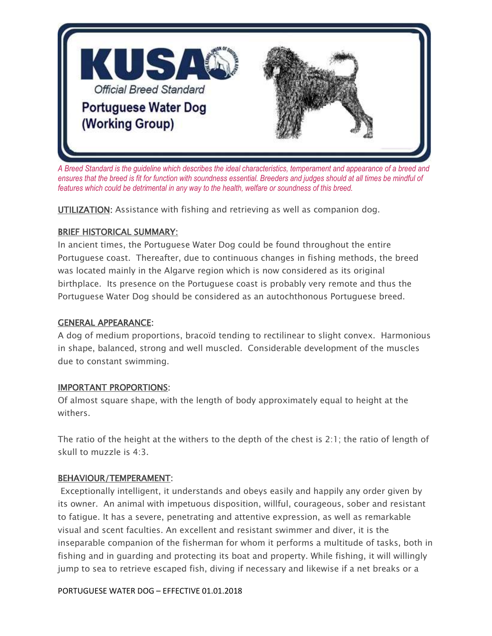

*A Breed Standard is the guideline which describes the ideal characteristics, temperament and appearance of a breed and ensures that the breed is fit for function with soundness essential. Breeders and judges should at all times be mindful of features which could be detrimental in any way to the health, welfare or soundness of this breed.*

UTILIZATION: Assistance with fishing and retrieving as well as companion dog.

### BRIEF HISTORICAL SUMMARY:

In ancient times, the Portuguese Water Dog could be found throughout the entire Portuguese coast. Thereafter, due to continuous changes in fishing methods, the breed was located mainly in the Algarve region which is now considered as its original birthplace. Its presence on the Portuguese coast is probably very remote and thus the Portuguese Water Dog should be considered as an autochthonous Portuguese breed.

### GENERAL APPEARANCE:

A dog of medium proportions, bracoïd tending to rectilinear to slight convex. Harmonious in shape, balanced, strong and well muscled. Considerable development of the muscles due to constant swimming.

### IMPORTANT PROPORTIONS:

Of almost square shape, with the length of body approximately equal to height at the withers.

The ratio of the height at the withers to the depth of the chest is 2:1; the ratio of length of skull to muzzle is 4:3.

### BEHAVIOUR/TEMPERAMENT:

Exceptionally intelligent, it understands and obeys easily and happily any order given by its owner. An animal with impetuous disposition, willful, courageous, sober and resistant to fatigue. It has a severe, penetrating and attentive expression, as well as remarkable visual and scent faculties. An excellent and resistant swimmer and diver, it is the inseparable companion of the fisherman for whom it performs a multitude of tasks, both in fishing and in guarding and protecting its boat and property. While fishing, it will willingly jump to sea to retrieve escaped fish, diving if necessary and likewise if a net breaks or a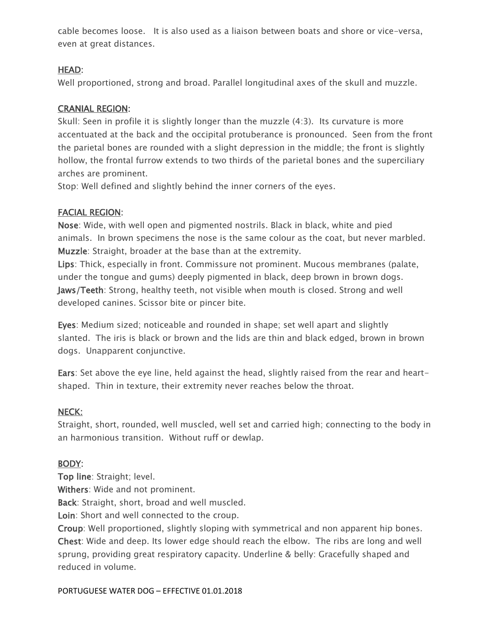cable becomes loose. It is also used as a liaison between boats and shore or vice-versa, even at great distances.

## HEAD:

Well proportioned, strong and broad. Parallel longitudinal axes of the skull and muzzle.

### CRANIAL REGION:

Skull: Seen in profile it is slightly longer than the muzzle (4:3). Its curvature is more accentuated at the back and the occipital protuberance is pronounced. Seen from the front the parietal bones are rounded with a slight depression in the middle; the front is slightly hollow, the frontal furrow extends to two thirds of the parietal bones and the superciliary arches are prominent.

Stop: Well defined and slightly behind the inner corners of the eyes.

## FACIAL REGION:

Nose: Wide, with well open and pigmented nostrils. Black in black, white and pied animals. In brown specimens the nose is the same colour as the coat, but never marbled. Muzzle: Straight, broader at the base than at the extremity.

Lips: Thick, especially in front. Commissure not prominent. Mucous membranes (palate, under the tongue and gums) deeply pigmented in black, deep brown in brown dogs. Jaws/Teeth: Strong, healthy teeth, not visible when mouth is closed. Strong and well developed canines. Scissor bite or pincer bite.

Eyes: Medium sized; noticeable and rounded in shape; set well apart and slightly slanted. The iris is black or brown and the lids are thin and black edged, brown in brown dogs. Unapparent conjunctive.

Ears: Set above the eye line, held against the head, slightly raised from the rear and heartshaped. Thin in texture, their extremity never reaches below the throat.

### NECK:

Straight, short, rounded, well muscled, well set and carried high; connecting to the body in an harmonious transition. Without ruff or dewlap.

## BODY:

Top line: Straight; level.

Withers: Wide and not prominent.

Back: Straight, short, broad and well muscled.

Loin: Short and well connected to the croup.

Croup: Well proportioned, slightly sloping with symmetrical and non apparent hip bones. Chest: Wide and deep. Its lower edge should reach the elbow. The ribs are long and well sprung, providing great respiratory capacity. Underline & belly: Gracefully shaped and reduced in volume.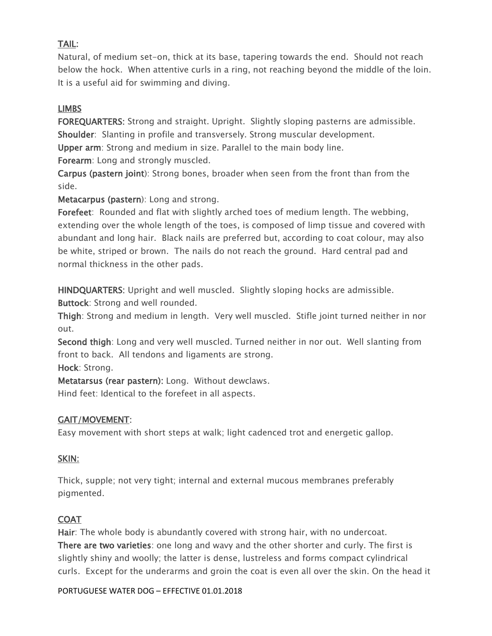# TAIL:

Natural, of medium set-on, thick at its base, tapering towards the end. Should not reach below the hock. When attentive curls in a ring, not reaching beyond the middle of the loin. It is a useful aid for swimming and diving.

## LIMBS

FOREQUARTERS: Strong and straight. Upright. Slightly sloping pasterns are admissible. Shoulder: Slanting in profile and transversely. Strong muscular development. Upper arm: Strong and medium in size. Parallel to the main body line.

Forearm: Long and strongly muscled.

Carpus (pastern joint): Strong bones, broader when seen from the front than from the side.

Metacarpus (pastern): Long and strong.

Forefeet: Rounded and flat with slightly arched toes of medium length. The webbing, extending over the whole length of the toes, is composed of limp tissue and covered with abundant and long hair. Black nails are preferred but, according to coat colour, may also be white, striped or brown. The nails do not reach the ground. Hard central pad and normal thickness in the other pads.

HINDQUARTERS: Upright and well muscled. Slightly sloping hocks are admissible. Buttock: Strong and well rounded.

Thigh: Strong and medium in length. Very well muscled. Stifle joint turned neither in nor out.

Second thigh: Long and very well muscled. Turned neither in nor out. Well slanting from front to back. All tendons and ligaments are strong.

Hock: Strong.

Metatarsus (rear pastern): Long. Without dewclaws.

Hind feet: Identical to the forefeet in all aspects.

## GAIT/MOVEMENT:

Easy movement with short steps at walk; light cadenced trot and energetic gallop.

## SKIN:

Thick, supple; not very tight; internal and external mucous membranes preferably pigmented.

## **COAT**

Hair: The whole body is abundantly covered with strong hair, with no undercoat. There are two varieties: one long and wavy and the other shorter and curly. The first is slightly shiny and woolly; the latter is dense, lustreless and forms compact cylindrical curls. Except for the underarms and groin the coat is even all over the skin. On the head it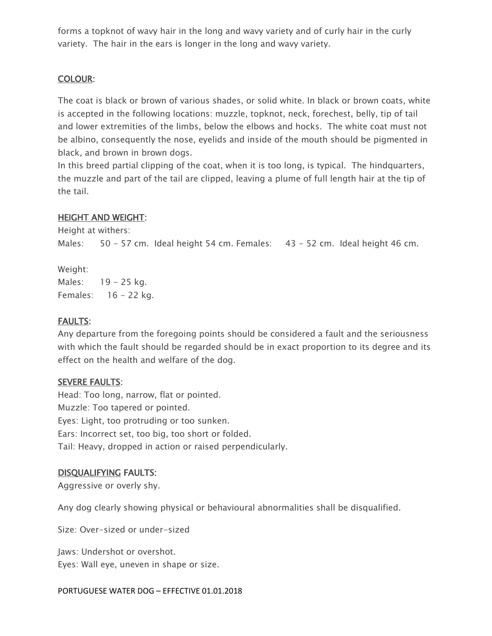forms a topknot of wavy hair in the long and wavy variety and of curly hair in the curly variety. The hair in the ears is longer in the long and wavy variety.

### COLOUR:

The coat is black or brown of various shades, or solid white. In black or brown coats, white is accepted in the following locations: muzzle, topknot, neck, forechest, belly, tip of tail and lower extremities of the limbs, below the elbows and hocks. The white coat must not be albino, consequently the nose, eyelids and inside of the mouth should be pigmented in black, and brown in brown dogs.

In this breed partial clipping of the coat, when it is too long, is typical. The hindquarters, the muzzle and part of the tail are clipped, leaving a plume of full length hair at the tip of the tail.

### HEIGHT AND WEIGHT:

Height at withers:

Males: 50 - 57 cm. Ideal height 54 cm. Females: 43 - 52 cm. Ideal height 46 cm.

Weight: Males: 19 - 25 kg. Females: 16 - 22 kg.

## FAULTS:

Any departure from the foregoing points should be considered a fault and the seriousness with which the fault should be regarded should be in exact proportion to its degree and its effect on the health and welfare of the dog.

### SEVERE FAULTS:

Head: Too long, narrow, flat or pointed. Muzzle: Too tapered or pointed. Eyes: Light, too protruding or too sunken. Ears: Incorrect set, too big, too short or folded. Tail: Heavy, dropped in action or raised perpendicularly.

### DISQUALIFYING FAULTS:

Aggressive or overly shy.

Any dog clearly showing physical or behavioural abnormalities shall be disqualified.

Size: Over-sized or under-sized

Jaws: Undershot or overshot. Eyes: Wall eye, uneven in shape or size.